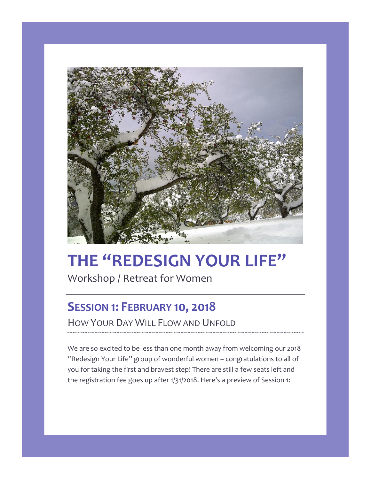

# **THE "REDESIGN YOUR LIFE"**

Workshop / Retreat for Women

# **SESSION 1: FEBRUARY 10, 2018**

HOW YOUR DAY WILL FLOW AND UNFOLD

We are so excited to be less than one month away from welcoming our 2018 "Redesign Your Life" group of wonderful women – congratulations to all of you for taking the first and bravest step! There are still a few seats left and the registration fee goes up after 1/31/2018. Here's a preview of Session 1: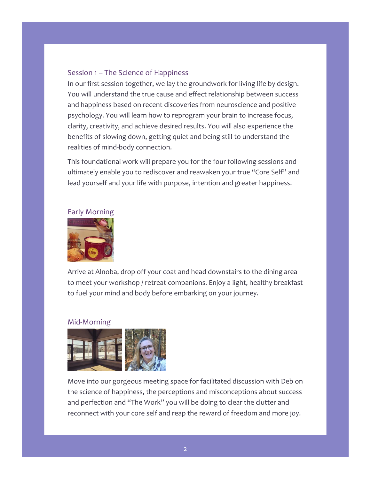#### Session 1 – The Science of Happiness

In our first session together, we lay the groundwork for living life by design. You will understand the true cause and effect relationship between success and happiness based on recent discoveries from neuroscience and positive psychology. You will learn how to reprogram your brain to increase focus, clarity, creativity, and achieve desired results. You will also experience the benefits of slowing down, getting quiet and being still to understand the realities of mind-body connection.

This foundational work will prepare you for the four following sessions and ultimately enable you to rediscover and reawaken your true "Core Self" and lead yourself and your life with purpose, intention and greater happiness.



Arrive at Alnoba, drop off your coat and head downstairs to the dining area to meet your workshop / retreat companions. Enjoy a light, healthy breakfast to fuel your mind and body before embarking on your journey.

#### Mid-Morning



Move into our gorgeous meeting space for facilitated discussion with Deb on the science of happiness, the perceptions and misconceptions about success and perfection and "The Work" you will be doing to clear the clutter and reconnect with your core self and reap the reward of freedom and more joy.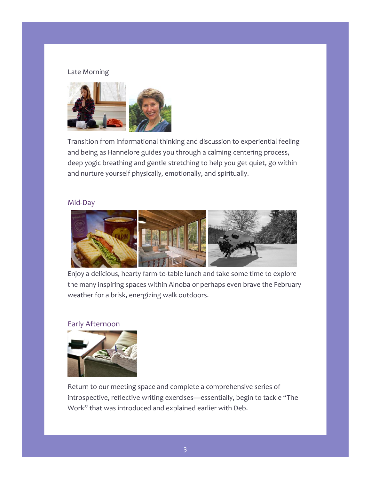#### Late Morning



Transition from informational thinking and discussion to experiential feeling and being as Hannelore guides you through a calming centering process, deep yogic breathing and gentle stretching to help you get quiet, go within and nurture yourself physically, emotionally, and spiritually.

## Mid-Day



Enjoy a delicious, hearty farm-to-table lunch and take some time to explore the many inspiring spaces within Alnoba or perhaps even brave the February weather for a brisk, energizing walk outdoors.

### Early Afternoon



Return to our meeting space and complete a comprehensive series of introspective, reflective writing exercises—essentially, begin to tackle "The Work" that was introduced and explained earlier with Deb.